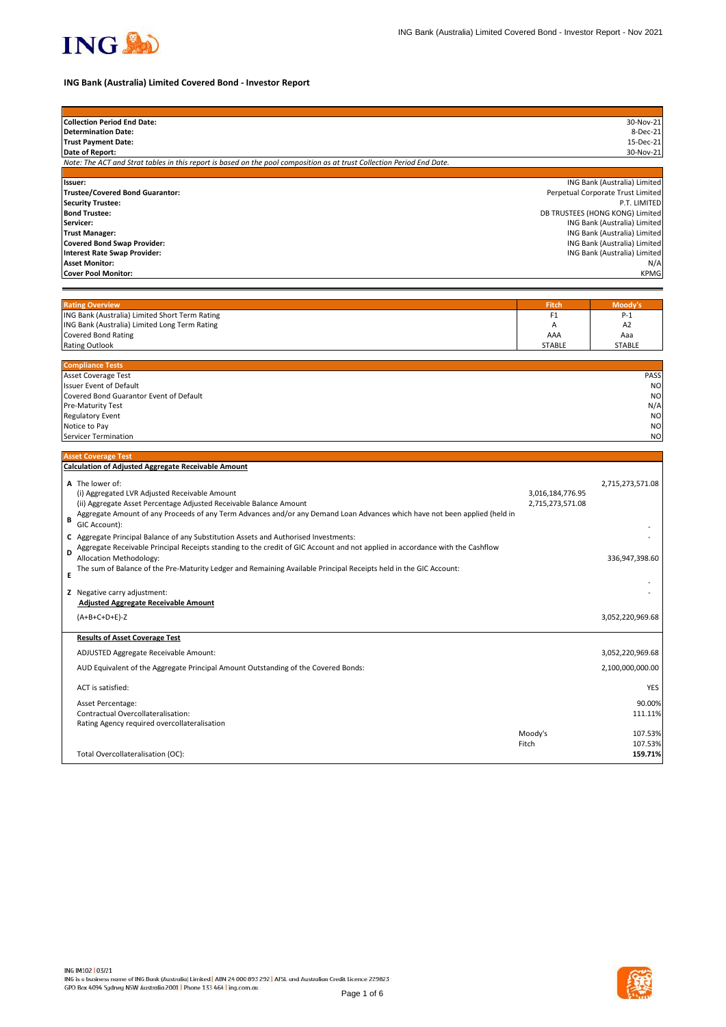

# **ING Bank (Australia) Limited Covered Bond - Investor Report**

| <b>Collection Period End Date:</b>                                                                                            |                  | 30-Nov-21                         |
|-------------------------------------------------------------------------------------------------------------------------------|------------------|-----------------------------------|
| <b>Determination Date:</b>                                                                                                    |                  | 8-Dec-21                          |
| <b>Trust Payment Date:</b>                                                                                                    |                  | 15-Dec-21                         |
| Date of Report:                                                                                                               |                  | 30-Nov-21                         |
| Note: The ACT and Strat tables in this report is based on the pool composition as at trust Collection Period End Date.        |                  |                                   |
| Issuer:                                                                                                                       |                  | ING Bank (Australia) Limited      |
| <b>Trustee/Covered Bond Guarantor:</b>                                                                                        |                  | Perpetual Corporate Trust Limited |
| <b>Security Trustee:</b>                                                                                                      |                  | P.T. LIMITED                      |
| <b>Bond Trustee:</b>                                                                                                          |                  | DB TRUSTEES (HONG KONG) Limited   |
| Servicer:                                                                                                                     |                  | ING Bank (Australia) Limited      |
| <b>Trust Manager:</b>                                                                                                         |                  | ING Bank (Australia) Limited      |
| <b>Covered Bond Swap Provider:</b>                                                                                            |                  | ING Bank (Australia) Limited      |
| <b>Interest Rate Swap Provider:</b>                                                                                           |                  | ING Bank (Australia) Limited      |
| <b>Asset Monitor:</b>                                                                                                         |                  | N/A                               |
| <b>Cover Pool Monitor:</b>                                                                                                    |                  | <b>KPMG</b>                       |
|                                                                                                                               |                  |                                   |
|                                                                                                                               |                  |                                   |
| <b>Rating Overview</b>                                                                                                        | <b>Fitch</b>     | Moody's                           |
| ING Bank (Australia) Limited Short Term Rating                                                                                | F <sub>1</sub>   | $P-1$                             |
| ING Bank (Australia) Limited Long Term Rating                                                                                 | Α                | A <sub>2</sub>                    |
| <b>Covered Bond Rating</b>                                                                                                    | AAA              | Aaa                               |
| <b>Rating Outlook</b>                                                                                                         | STABLE           | <b>STABLE</b>                     |
| <b>Compliance Tests</b>                                                                                                       |                  |                                   |
| Asset Coverage Test                                                                                                           |                  | PASS                              |
| Issuer Event of Default                                                                                                       |                  | N <sub>O</sub>                    |
| Covered Bond Guarantor Event of Default                                                                                       |                  | N <sub>O</sub>                    |
| Pre-Maturity Test                                                                                                             |                  | N/A                               |
| <b>Regulatory Event</b>                                                                                                       |                  | N <sub>O</sub>                    |
| Notice to Pay                                                                                                                 |                  | N <sub>O</sub>                    |
| Servicer Termination                                                                                                          |                  | N <sub>O</sub>                    |
|                                                                                                                               |                  |                                   |
| <b>Asset Coverage Test</b>                                                                                                    |                  |                                   |
| <b>Calculation of Adjusted Aggregate Receivable Amount</b>                                                                    |                  |                                   |
| A The lower of:                                                                                                               |                  | 2,715,273,571.08                  |
| (i) Aggregated LVR Adjusted Receivable Amount                                                                                 | 3,016,184,776.95 |                                   |
| (ii) Aggregate Asset Percentage Adjusted Receivable Balance Amount                                                            | 2,715,273,571.08 |                                   |
| Aggregate Amount of any Proceeds of any Term Advances and/or any Demand Loan Advances which have not been applied (held in    |                  |                                   |
| B<br>GIC Account):                                                                                                            |                  |                                   |
| C Aggregate Principal Balance of any Substitution Assets and Authorised Investments:                                          |                  |                                   |
| Aggregate Receivable Principal Receipts standing to the credit of GIC Account and not applied in accordance with the Cashflow |                  |                                   |
| D<br>Allocation Methodology:                                                                                                  |                  | 336,947,398.60                    |
| The sum of Balance of the Pre-Maturity Ledger and Remaining Available Principal Receipts held in the GIC Account:             |                  |                                   |
| Е                                                                                                                             |                  |                                   |
| Z Negative carry adjustment:                                                                                                  |                  |                                   |
| <b>Adjusted Aggregate Receivable Amount</b>                                                                                   |                  |                                   |
|                                                                                                                               |                  |                                   |
| $(A+B+C+D+E)-Z$                                                                                                               |                  | 3,052,220,969.68                  |
| <b>Results of Asset Coverage Test</b>                                                                                         |                  |                                   |
|                                                                                                                               |                  |                                   |
| ADJUSTED Aggregate Receivable Amount:                                                                                         |                  | 3,052,220,969.68                  |
| AUD Equivalent of the Aggregate Principal Amount Outstanding of the Covered Bonds:                                            |                  | 2,100,000,000.00                  |
| ACT is satisfied:                                                                                                             |                  | <b>YES</b>                        |
| Asset Percentage:                                                                                                             |                  | 90.00%                            |
| Contractual Overcollateralisation:                                                                                            |                  | 111.11%                           |
| Rating Agency required overcollateralisation                                                                                  |                  |                                   |
|                                                                                                                               | Moody's          | 107.53%                           |
|                                                                                                                               | Fitch            | 107.53%                           |
| Total Overcollateralisation (OC):                                                                                             |                  | 159.71%                           |
|                                                                                                                               |                  |                                   |

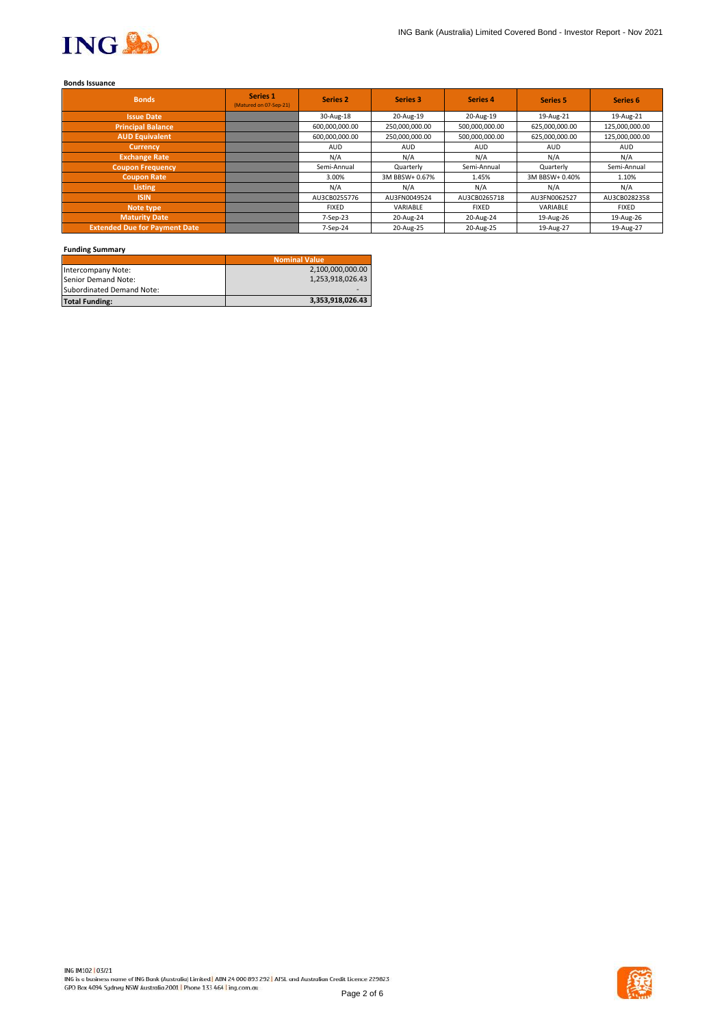

# **Bonds Issuance**

| <b>Bonds</b>                         | Series 1<br>(Matured on 07-Sep-21) | <b>Series 2</b> | Series 3       | <b>Series 4</b> | <b>Series 5</b> | Series <sub>6</sub> |
|--------------------------------------|------------------------------------|-----------------|----------------|-----------------|-----------------|---------------------|
| <b>Issue Date</b>                    |                                    | 30-Aug-18       | 20-Aug-19      | 20-Aug-19       | 19-Aug-21       | 19-Aug-21           |
| <b>Principal Balance</b>             |                                    | 600,000,000.00  | 250,000,000.00 | 500,000,000.00  | 625,000,000.00  | 125,000,000.00      |
| <b>AUD Equivalent</b>                |                                    | 600,000,000.00  | 250,000,000.00 | 500,000,000.00  | 625,000,000.00  | 125,000,000.00      |
| <b>Currency</b>                      |                                    | <b>AUD</b>      | <b>AUD</b>     | <b>AUD</b>      | <b>AUD</b>      | <b>AUD</b>          |
| <b>Exchange Rate</b>                 |                                    | N/A             | N/A            | N/A             | N/A             | N/A                 |
| <b>Coupon Frequency</b>              |                                    | Semi-Annual     | Quarterly      | Semi-Annual     | Quarterly       | Semi-Annual         |
| <b>Coupon Rate</b>                   |                                    | 3.00%           | 3M BBSW+ 0.67% | 1.45%           | 3M BBSW+ 0.40%  | 1.10%               |
| Listing                              |                                    | N/A             | N/A            | N/A             | N/A             | N/A                 |
| <b>ISIN</b>                          |                                    | AU3CB0255776    | AU3FN0049524   | AU3CB0265718    | AU3FN0062527    | AU3CB0282358        |
| Note type                            |                                    | <b>FIXED</b>    | VARIABLE       | <b>FIXED</b>    | VARIABLE        | <b>FIXED</b>        |
| <b>Maturity Date</b>                 |                                    | 7-Sep-23        | 20-Aug-24      | 20-Aug-24       | 19-Aug-26       | 19-Aug-26           |
| <b>Extended Due for Payment Date</b> |                                    | 7-Sep-24        | 20-Aug-25      | 20-Aug-25       | 19-Aug-27       | 19-Aug-27           |

## **Funding Summary**

|                           | <b>Nominal Value</b> |
|---------------------------|----------------------|
| Intercompany Note:        | 2,100,000,000.00     |
| Senior Demand Note:       | 1.253.918.026.43     |
| Subordinated Demand Note: |                      |
| <b>Total Funding:</b>     | 3,353,918,026.43     |

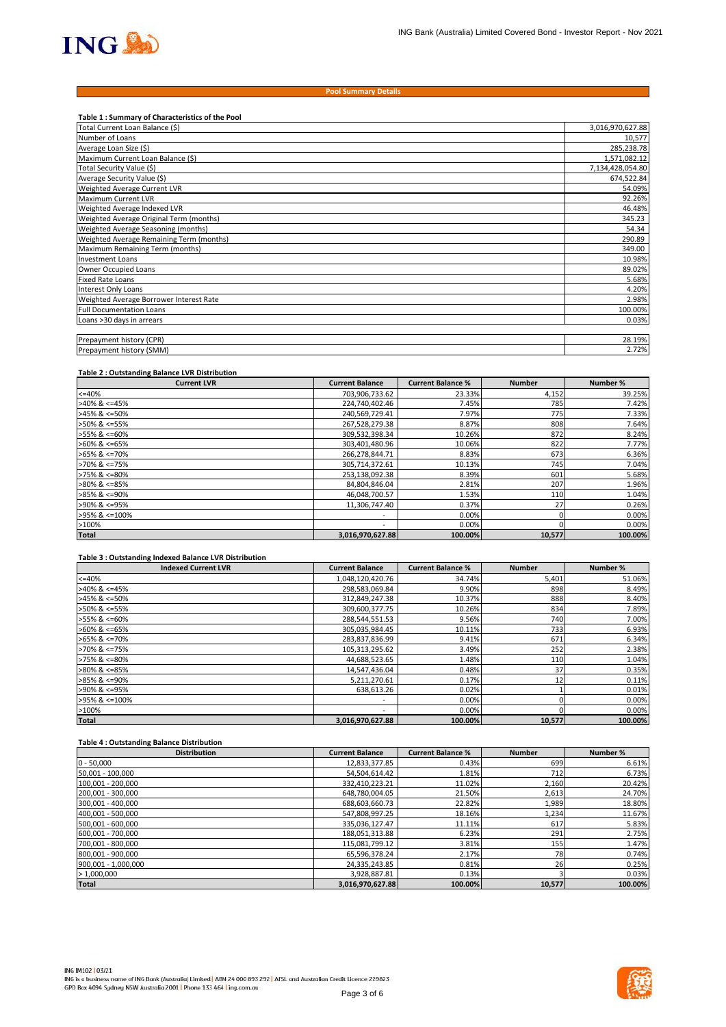

#### **Pool Summary Details**

| Table 1: Summary of Characteristics of the Pool |                  |
|-------------------------------------------------|------------------|
| Total Current Loan Balance (\$)                 | 3,016,970,627.88 |
| Number of Loans                                 | 10,577           |
| Average Loan Size (\$)                          | 285,238.78       |
| Maximum Current Loan Balance (\$)               | 1,571,082.12     |
| Total Security Value (\$)                       | 7,134,428,054.80 |
| Average Security Value (\$)                     | 674,522.84       |
| Weighted Average Current LVR                    | 54.09%           |
| Maximum Current LVR                             | 92.26%           |
| Weighted Average Indexed LVR                    | 46.48%           |
| Weighted Average Original Term (months)         | 345.23           |
| Weighted Average Seasoning (months)             | 54.34            |
| Weighted Average Remaining Term (months)        | 290.89           |
| Maximum Remaining Term (months)                 | 349.00           |
| <b>Investment Loans</b>                         | 10.98%           |
| Owner Occupied Loans                            | 89.02%           |
| <b>Fixed Rate Loans</b>                         | 5.68%            |
| Interest Only Loans                             | 4.20%            |
| Weighted Average Borrower Interest Rate         | 2.98%            |
| <b>Full Documentation Loans</b>                 | 100.00%          |
| Loans >30 days in arrears                       | 0.03%            |
|                                                 |                  |
| Prepayment history (CPR)                        | 28.19%           |
| Prepayment history (SMM)                        | 2.72%            |

#### **Table 2 : Outstanding Balance LVR Distribution**

| <b>Current LVR</b>    | <b>Current Balance</b>   | <b>Current Balance %</b> | <b>Number</b> | Number % |
|-----------------------|--------------------------|--------------------------|---------------|----------|
| $<=40%$               | 703,906,733.62           | 23.33%                   | 4,152         | 39.25%   |
| $>40\%$ & <=45%       | 224,740,402.46           | 7.45%                    | 785           | 7.42%    |
| $>45\%$ & <=50%       | 240.569.729.41           | 7.97%                    | 775           | 7.33%    |
| >50% & <=55%          | 267,528,279.38           | 8.87%                    | 808           | 7.64%    |
| >55% & <=60%          | 309,532,398.34           | 10.26%                   | 872           | 8.24%    |
| $>60\%$ & <=65%       | 303,401,480.96           | 10.06%                   | 822           | 7.77%    |
| $>65\%$ & $\leq$ 70%  | 266,278,844.71           | 8.83%                    | 673           | 6.36%    |
| $>70\%$ & $\leq 75\%$ | 305,714,372.61           | 10.13%                   | 745           | 7.04%    |
| $>75\%$ & $\leq 80\%$ | 253,138,092.38           | 8.39%                    | 601           | 5.68%    |
| $>80\%$ & <=85%       | 84,804,846.04            | 2.81%                    | 207           | 1.96%    |
| $>85\%$ & <=90%       | 46,048,700.57            | 1.53%                    | 110           | 1.04%    |
| >90% & <=95%          | 11,306,747.40            | 0.37%                    | 27            | 0.26%    |
| >95% & <=100%         | $\overline{\phantom{a}}$ | 0.00%                    |               | 0.00%    |
| >100%                 | $\overline{\phantom{a}}$ | 0.00%                    |               | 0.00%    |
| <b>Total</b>          | 3,016,970,627.88         | 100.00%                  | 10,577        | 100.00%  |

#### **Table 3 : Outstanding Indexed Balance LVR Distribution**

| <b>Indexed Current LVR</b> | <b>Current Balance</b> | <b>Current Balance %</b> | <b>Number</b> | Number % |
|----------------------------|------------------------|--------------------------|---------------|----------|
| $<=40%$                    | 1,048,120,420.76       | 34.74%                   | 5,401         | 51.06%   |
| $>40\%$ & <=45%            | 298,583,069.84         | 9.90%                    | 898           | 8.49%    |
| $>45\%$ & <=50%            | 312,849,247.38         | 10.37%                   | 888           | 8.40%    |
| $>50\%$ & <=55%            | 309,600,377.75         | 10.26%                   | 834           | 7.89%    |
| $>55\%$ & <=60%            | 288,544,551.53         | 9.56%                    | 740           | 7.00%    |
| $>60\%$ & <=65%            | 305,035,984.45         | 10.11%                   | 733           | 6.93%    |
| $>65\%$ & <=70%            | 283,837,836.99         | 9.41%                    | 671           | 6.34%    |
| $>70\%$ & <=75%            | 105,313,295.62         | 3.49%                    | 252           | 2.38%    |
| $>75\%$ & <=80%            | 44,688,523.65          | 1.48%                    | 110           | 1.04%    |
| $>80\%$ & <=85%            | 14,547,436.04          | 0.48%                    | 37            | 0.35%    |
| $>85\%$ & <=90%            | 5,211,270.61           | 0.17%                    | 12            | 0.11%    |
| >90% & <=95%               | 638.613.26             | 0.02%                    |               | 0.01%    |
| >95% & <=100%              | ۰                      | 0.00%                    |               | 0.00%    |
| >100%                      | ۰                      | 0.00%                    |               | 0.00%    |
| <b>Total</b>               | 3,016,970,627.88       | 100.00%                  | 10.577        | 100.00%  |

## **Table 4 : Outstanding Balance Distribution**

| <b>Distribution</b> | <b>Current Balance</b> | <b>Current Balance %</b> | <b>Number</b> | Number % |
|---------------------|------------------------|--------------------------|---------------|----------|
| $0 - 50,000$        | 12,833,377.85          | 0.43%                    | 699           | 6.61%    |
| 50,001 - 100,000    | 54,504,614.42          | 1.81%                    | 712           | 6.73%    |
| 100,001 - 200,000   | 332,410,223.21         | 11.02%                   | 2,160         | 20.42%   |
| 200,001 - 300,000   | 648,780,004.05         | 21.50%                   | 2,613         | 24.70%   |
| 300,001 - 400,000   | 688,603,660.73         | 22.82%                   | 1,989         | 18.80%   |
| 400,001 - 500,000   | 547,808,997.25         | 18.16%                   | 1,234         | 11.67%   |
| 500,001 - 600,000   | 335,036,127.47         | 11.11%                   | 617           | 5.83%    |
| 600,001 - 700,000   | 188,051,313.88         | 6.23%                    | 291           | 2.75%    |
| 700,001 - 800,000   | 115,081,799.12         | 3.81%                    | 155           | 1.47%    |
| 800,001 - 900,000   | 65,596,378.24          | 2.17%                    | 781           | 0.74%    |
| 900,001 - 1,000,000 | 24,335,243.85          | 0.81%                    | 26            | 0.25%    |
| >1,000,000          | 3,928,887.81           | 0.13%                    |               | 0.03%    |
| <b>Total</b>        | 3,016,970,627.88       | 100.00%                  | 10,577        | 100.00%  |

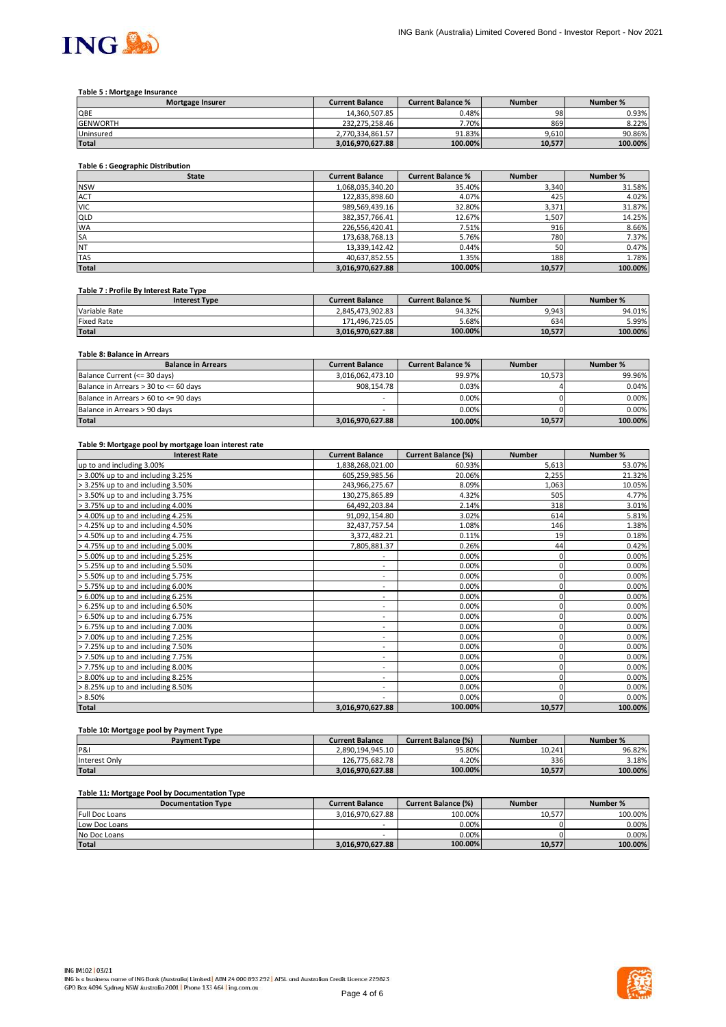

#### **Table 5 : Mortgage Insurance**

| <b>Mortgage Insurer</b> | <b>Current Balance</b> | <b>Current Balance %</b> | <b>Number</b> | Number % |
|-------------------------|------------------------|--------------------------|---------------|----------|
| QBE                     | 14.360.507.85          | 0.48%                    | 98            | 0.93%    |
| <b>GENWORTH</b>         | 232.275.258.46         | 7.70%                    | 869           | 8.22%    |
| Uninsured               | 2.770.334.861.57       | 91.83%                   | 9.610         | 90.86%   |
| <b>Total</b>            | 3.016.970.627.88       | 100.00%                  | 10.577        | 100.00%  |

## **Table 6 : Geographic Distribution**

| <b>State</b> | <b>Current Balance</b> | <b>Current Balance %</b> | <b>Number</b> | Number % |
|--------------|------------------------|--------------------------|---------------|----------|
| <b>NSW</b>   | 1,068,035,340.20       | 35.40%                   | 3,340         | 31.58%   |
| <b>ACT</b>   | 122,835,898.60         | 4.07%                    | 425           | 4.02%    |
| <b>VIC</b>   | 989,569,439.16         | 32.80%                   | 3,371         | 31.87%   |
| <b>QLD</b>   | 382,357,766.41         | 12.67%                   | 1,507         | 14.25%   |
| <b>WA</b>    | 226,556,420.41         | 7.51%                    | 916           | 8.66%    |
| <b>SA</b>    | 173,638,768.13         | 5.76%                    | 780           | 7.37%    |
| <b>NT</b>    | 13,339,142.42          | 0.44%                    | 50            | 0.47%    |
| <b>TAS</b>   | 40,637,852.55          | 1.35%                    | 188           | 1.78%    |
| <b>Total</b> | 3,016,970,627.88       | 100.00%                  | 10,577        | 100.00%  |

#### **Table 7 : Profile By Interest Rate Type**

| <b>Interest Type</b> | <b>Current Balance</b> | <b>Current Balance %</b> | <b>Number</b> | Number % |
|----------------------|------------------------|--------------------------|---------------|----------|
| Variable Rate        | 2.845.473.902.83       | 94.32%                   | 9,943         | 94.01%   |
| <b>Fixed Rate</b>    | 171.496.725.05         | 5.68%                    | 634           | 5.99%    |
| <b>Total</b>         | 3.016.970.627.88       | 100.00%                  | 10.577        | 100.00%  |

## **Table 8: Balance in Arrears**

| <b>Balance in Arrears</b>             | <b>Current Balance</b> | <b>Current Balance %</b> | <b>Number</b> | Number % |
|---------------------------------------|------------------------|--------------------------|---------------|----------|
| Balance Current (<= 30 days)          | 3.016.062.473.10       | 99.97%                   | 10.573        | 99.96%   |
| Balance in Arrears > 30 to <= 60 days | 908.154.78             | 0.03%                    |               | 0.04%    |
| Balance in Arrears > 60 to <= 90 days | -                      | $0.00\%$                 |               | 0.00%    |
| Balance in Arrears > 90 days          | -                      | 0.00%                    |               | 0.00%    |
| <b>Total</b>                          | 3,016,970,627.88       | 100.00%                  | 10,577        | 100.00%  |

#### **Table 9: Mortgage pool by mortgage loan interest rate**

| <b>Interest Rate</b>              | <b>Current Balance</b>       | <b>Current Balance (%)</b> | <b>Number</b> | Number % |
|-----------------------------------|------------------------------|----------------------------|---------------|----------|
| up to and including 3.00%         | 1,838,268,021.00             | 60.93%                     | 5,613         | 53.07%   |
| > 3.00% up to and including 3.25% | 605,259,985.56               | 20.06%                     | 2,255         | 21.32%   |
| > 3.25% up to and including 3.50% | 243,966,275.67               | 8.09%                      | 1,063         | 10.05%   |
| > 3.50% up to and including 3.75% | 130,275,865.89               | 4.32%                      | 505           | 4.77%    |
| > 3.75% up to and including 4.00% | 64,492,203.84                | 2.14%                      | 318           | 3.01%    |
| > 4.00% up to and including 4.25% | 91,092,154.80                | 3.02%                      | 614           | 5.81%    |
| > 4.25% up to and including 4.50% | 32,437,757.54                | 1.08%                      | 146           | 1.38%    |
| > 4.50% up to and including 4.75% | 3,372,482.21                 | 0.11%                      | 19            | 0.18%    |
| > 4.75% up to and including 5.00% | 7,805,881.37                 | 0.26%                      | 44            | 0.42%    |
| > 5.00% up to and including 5.25% | ٠                            | 0.00%                      | 0             | 0.00%    |
| > 5.25% up to and including 5.50% | ٠                            | 0.00%                      | 0             | 0.00%    |
| > 5.50% up to and including 5.75% | $\qquad \qquad \blacksquare$ | 0.00%                      | 0             | 0.00%    |
| > 5.75% up to and including 6.00% | ٠                            | 0.00%                      | 0             | 0.00%    |
| > 6.00% up to and including 6.25% | $\sim$                       | 0.00%                      | 0             | 0.00%    |
| > 6.25% up to and including 6.50% | ۰                            | 0.00%                      |               | 0.00%    |
| > 6.50% up to and including 6.75% | $\overline{\phantom{0}}$     | 0.00%                      |               | 0.00%    |
| > 6.75% up to and including 7.00% | $\overline{\phantom{a}}$     | 0.00%                      | 0             | 0.00%    |
| > 7.00% up to and including 7.25% | ٠.                           | 0.00%                      | 0             | 0.00%    |
| > 7.25% up to and including 7.50% | ٠                            | 0.00%                      | 0             | 0.00%    |
| > 7.50% up to and including 7.75% | $\overline{\phantom{0}}$     | 0.00%                      |               | 0.00%    |
| > 7.75% up to and including 8.00% | ٠                            | 0.00%                      | 0             | 0.00%    |
| > 8.00% up to and including 8.25% | ۰                            | 0.00%                      |               | 0.00%    |
| > 8.25% up to and including 8.50% | ٠                            | 0.00%                      |               | 0.00%    |
| > 8.50%                           | ۰                            | 0.00%                      |               | 0.00%    |
| <b>Total</b>                      | 3,016,970,627.88             | 100.00%                    | 10,577        | 100.00%  |

# **Table 10: Mortgage pool by Payment Type**

| <b>Payment Type</b> | <b>Current Balance</b> | <b>Current Balance (%)</b> | <b>Number</b> | Number % |
|---------------------|------------------------|----------------------------|---------------|----------|
| P&I                 | 2.890.194.945.10       | 95.80%                     | 10.241        | 96.82%   |
| Interest Only       | 126.775.682.78         | 4.20%                      | 336           | 3.18%    |
| <b>Total</b>        | 3.016.970.627.88       | 100.00%                    | 10.577        | 100.00%  |

#### **Table 11: Mortgage Pool by Documentation Type**

| . .<br><b>Documentation Type</b> | <b>Current Balance</b> | <b>Current Balance (%)</b> | <b>Number</b> | Number % |
|----------------------------------|------------------------|----------------------------|---------------|----------|
| <b>Full Doc Loans</b>            | 3.016.970.627.88       | 100.00%                    | 10.577        | 100.00%  |
| Low Doc Loans                    | -                      | 0.00%                      |               | 0.00%    |
| No Doc Loans                     | -                      | 0.00%                      |               | 0.00%    |
| <b>Total</b>                     | 3.016.970.627.88       | 100.00%                    | 10.577        | 100.00%  |

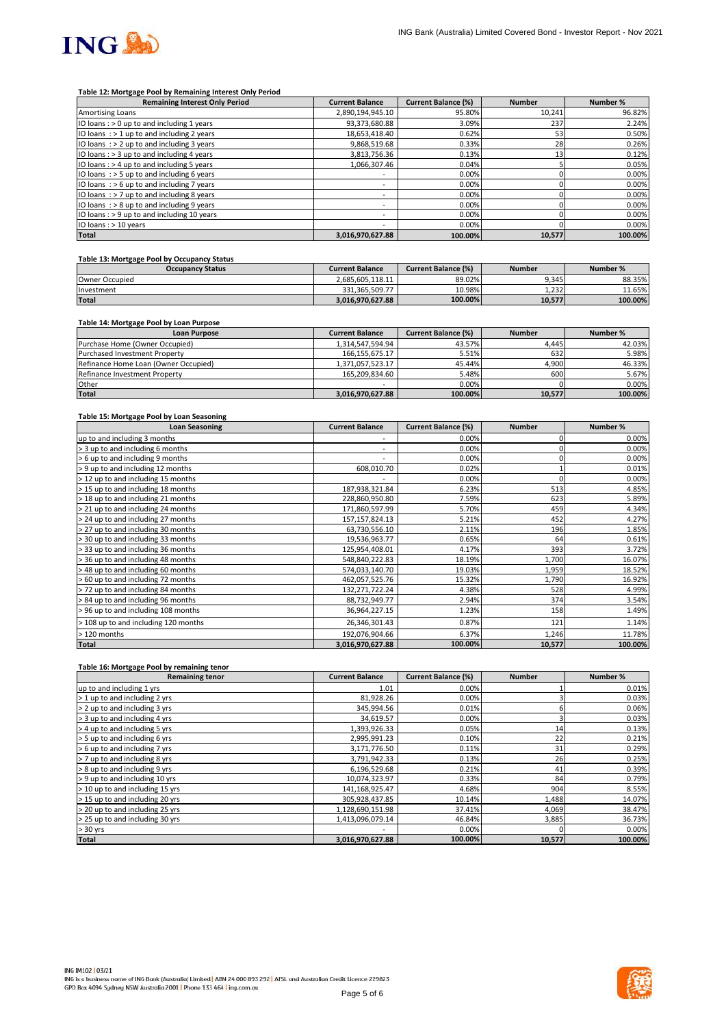

#### **Table 12: Mortgage Pool by Remaining Interest Only Period**

| <b>Remaining Interest Only Period</b>        | <b>Current Balance</b>   | <b>Current Balance (%)</b> | <b>Number</b> | Number % |
|----------------------------------------------|--------------------------|----------------------------|---------------|----------|
| Amortising Loans                             | 2,890,194,945.10         | 95.80%                     | 10.241        | 96.82%   |
| IO loans: > 0 up to and including 1 years    | 93,373,680.88            | 3.09%                      | 237           | 2.24%    |
| IO loans $:$ > 1 up to and including 2 years | 18.653.418.40            | 0.62%                      | 53            | 0.50%    |
| IO loans $:$ > 2 up to and including 3 years | 9,868,519.68             | 0.33%                      | 28            | 0.26%    |
| IO loans : > 3 up to and including 4 years   | 3,813,756.36             | 0.13%                      | 13            | 0.12%    |
| IO loans: > 4 up to and including 5 years    | 1,066,307.46             | 0.04%                      |               | 0.05%    |
| IO loans $:$ > 5 up to and including 6 years | $\overline{\phantom{a}}$ | 0.00%                      |               | 0.00%    |
| IO loans: $> 6$ up to and including 7 years  | $\overline{\phantom{a}}$ | 0.00%                      |               | 0.00%    |
| IO loans $:$ > 7 up to and including 8 years | -                        | 0.00%                      |               | 0.00%    |
| IO loans $:$ > 8 up to and including 9 years | ۰                        | 0.00%                      |               | 0.00%    |
| IO loans: > 9 up to and including 10 years   | $\overline{\phantom{a}}$ | 0.00%                      |               | 0.00%    |
| IO loans : > 10 years                        |                          | 0.00%                      |               | 0.00%    |
| <b>Total</b>                                 | 3,016,970,627.88         | 100.00%                    | 10,577        | 100.00%  |

## **Table 13: Mortgage Pool by Occupancy Status**

| <b>Occupancy Status</b> | <b>Current Balance</b> | <b>Current Balance (%)</b> | <b>Number</b> | Number % |
|-------------------------|------------------------|----------------------------|---------------|----------|
| Owner Occupied          | 2.685.605.118.11       | 89.02%                     | 9.345         | 88.35%   |
| Investment              | 331.365.509.77         | 10.98%                     | 1.232         | 11.65%   |
| <b>Total</b>            | 3.016.970.627.88       | 100.00%                    | 10.577        | 100.00%  |

## **Table 14: Mortgage Pool by Loan Purpose**

| <b>Loan Purpose</b>                  | <b>Current Balance</b> | <b>Current Balance (%)</b> | <b>Number</b> | Number % |
|--------------------------------------|------------------------|----------------------------|---------------|----------|
| Purchase Home (Owner Occupied)       | 1.314.547.594.94       | 43.57%                     | 4.445         | 42.03%   |
| <b>Purchased Investment Property</b> | 166.155.675.17         | 5.51%                      | 632           | 5.98%    |
| Refinance Home Loan (Owner Occupied) | 1.371.057.523.17       | 45.44%                     | 4,900         | 46.33%   |
| Refinance Investment Property        | 165.209.834.60         | 5.48%                      | 600           | 5.67%    |
| Other                                | -                      | 0.00%                      |               | 0.00%    |
| <b>Total</b>                         | 3,016,970,627.88       | 100.00%                    | 10,577        | 100.00%  |

#### **Table 15: Mortgage Pool by Loan Seasoning**

| <b>Loan Seasoning</b>                | <b>Current Balance</b>       | <b>Current Balance (%)</b> | <b>Number</b> | Number % |
|--------------------------------------|------------------------------|----------------------------|---------------|----------|
| up to and including 3 months         |                              | 0.00%                      |               | 0.00%    |
| > 3 up to and including 6 months     | ۰                            | 0.00%                      |               | 0.00%    |
| > 6 up to and including 9 months     | $\qquad \qquad \blacksquare$ | 0.00%                      |               | 0.00%    |
| > 9 up to and including 12 months    | 608,010.70                   | 0.02%                      |               | 0.01%    |
| > 12 up to and including 15 months   |                              | 0.00%                      |               | 0.00%    |
| > 15 up to and including 18 months   | 187,938,321.84               | 6.23%                      | 513           | 4.85%    |
| > 18 up to and including 21 months   | 228,860,950.80               | 7.59%                      | 623           | 5.89%    |
| > 21 up to and including 24 months   | 171,860,597.99               | 5.70%                      | 459           | 4.34%    |
| > 24 up to and including 27 months   | 157, 157, 824. 13            | 5.21%                      | 452           | 4.27%    |
| > 27 up to and including 30 months   | 63,730,556.10                | 2.11%                      | 196           | 1.85%    |
| > 30 up to and including 33 months   | 19,536,963.77                | 0.65%                      | 64            | 0.61%    |
| > 33 up to and including 36 months   | 125,954,408.01               | 4.17%                      | 393           | 3.72%    |
| > 36 up to and including 48 months   | 548,840,222.83               | 18.19%                     | 1,700         | 16.07%   |
| > 48 up to and including 60 months   | 574,033,140.70               | 19.03%                     | 1,959         | 18.52%   |
| > 60 up to and including 72 months   | 462,057,525.76               | 15.32%                     | 1,790         | 16.92%   |
| >72 up to and including 84 months    | 132,271,722.24               | 4.38%                      | 528           | 4.99%    |
| > 84 up to and including 96 months   | 88,732,949.77                | 2.94%                      | 374           | 3.54%    |
| > 96 up to and including 108 months  | 36,964,227.15                | 1.23%                      | 158           | 1.49%    |
| > 108 up to and including 120 months | 26,346,301.43                | 0.87%                      | 121           | 1.14%    |
| > 120 months                         | 192,076,904.66               | 6.37%                      | 1,246         | 11.78%   |
| <b>Total</b>                         | 3,016,970,627.88             | 100.00%                    | 10,577        | 100.00%  |

#### **Table 16: Mortgage Pool by remaining tenor**

| <b>Remaining tenor</b>          | <b>Current Balance</b> | <b>Current Balance (%)</b> | <b>Number</b> | Number % |
|---------------------------------|------------------------|----------------------------|---------------|----------|
| up to and including 1 yrs       | 1.01                   | 0.00%                      |               | 0.01%    |
| > 1 up to and including 2 yrs   | 81,928.26              | 0.00%                      |               | 0.03%    |
| > 2 up to and including 3 yrs   | 345,994.56             | 0.01%                      |               | 0.06%    |
| > 3 up to and including 4 yrs   | 34,619.57              | 0.00%                      |               | 0.03%    |
| > 4 up to and including 5 yrs   | 1,393,926.33           | 0.05%                      | 14            | 0.13%    |
| > 5 up to and including 6 yrs   | 2,995,991.23           | 0.10%                      | 22            | 0.21%    |
| > 6 up to and including 7 yrs   | 3,171,776.50           | 0.11%                      | 31            | 0.29%    |
| > 7 up to and including 8 yrs   | 3,791,942.33           | 0.13%                      | 26            | 0.25%    |
| > 8 up to and including 9 yrs   | 6,196,529.68           | 0.21%                      | 41            | 0.39%    |
| > 9 up to and including 10 yrs  | 10,074,323.97          | 0.33%                      | 84            | 0.79%    |
| > 10 up to and including 15 yrs | 141,168,925.47         | 4.68%                      | 904           | 8.55%    |
| > 15 up to and including 20 yrs | 305,928,437.85         | 10.14%                     | 1,488         | 14.07%   |
| > 20 up to and including 25 yrs | 1,128,690,151.98       | 37.41%                     | 4,069         | 38.47%   |
| > 25 up to and including 30 yrs | 1,413,096,079.14       | 46.84%                     | 3,885         | 36.73%   |
| $> 30$ yrs                      |                        | 0.00%                      |               | 0.00%    |
| <b>Total</b>                    | 3,016,970,627.88       | 100.00%                    | 10,577        | 100.00%  |